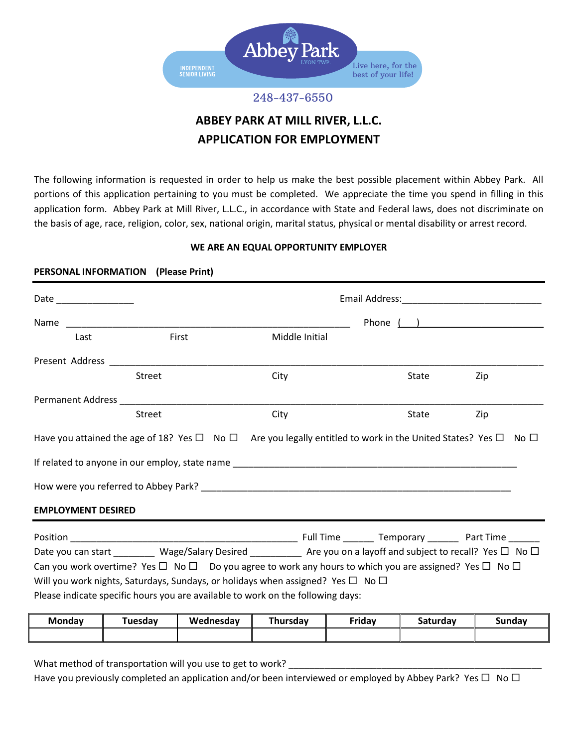

# 248-437-6550

# **ABBEY PARK AT MILL RIVER, L.L.C. APPLICATION FOR EMPLOYMENT**

The following information is requested in order to help us make the best possible placement within Abbey Park. All portions of this application pertaining to you must be completed. We appreciate the time you spend in filling in this application form. Abbey Park at Mill River, L.L.C., in accordance with State and Federal laws, does not discriminate on the basis of age, race, religion, color, sex, national origin, marital status, physical or mental disability or arrest record.

# **WE ARE AN EQUAL OPPORTUNITY EMPLOYER**

# **PERSONAL INFORMATION (Please Print)**

| Date ________________                                                                                                             |               |                       |                |               |                  |                                                      |
|-----------------------------------------------------------------------------------------------------------------------------------|---------------|-----------------------|----------------|---------------|------------------|------------------------------------------------------|
|                                                                                                                                   |               |                       |                |               |                  | Phone $\begin{pmatrix} 1 & 1 \\ 1 & 1 \end{pmatrix}$ |
| Last                                                                                                                              |               | First                 | Middle Initial |               |                  |                                                      |
|                                                                                                                                   |               |                       |                |               |                  |                                                      |
|                                                                                                                                   | Street        |                       | City           |               | State            | Zip                                                  |
|                                                                                                                                   |               |                       |                |               |                  |                                                      |
|                                                                                                                                   | <b>Street</b> |                       | City           |               | State            | Zip                                                  |
| Have you attained the age of 18? Yes $\Box$ No $\Box$ Are you legally entitled to work in the United States? Yes $\Box$ No $\Box$ |               |                       |                |               |                  |                                                      |
|                                                                                                                                   |               |                       |                |               |                  |                                                      |
|                                                                                                                                   |               |                       |                |               |                  |                                                      |
| <b>EMPLOYMENT DESIRED</b>                                                                                                         |               |                       |                |               |                  |                                                      |
|                                                                                                                                   |               |                       |                |               |                  |                                                      |
| Date you can start ________ Wage/Salary Desired _________ Are you on a layoff and subject to recall? Yes □ No □                   |               |                       |                |               |                  |                                                      |
| Can you work overtime? Yes $\Box$ No $\Box$ Do you agree to work any hours to which you are assigned? Yes $\Box$ No $\Box$        |               |                       |                |               |                  |                                                      |
| Will you work nights, Saturdays, Sundays, or holidays when assigned? Yes $\Box$ No $\Box$                                         |               |                       |                |               |                  |                                                      |
| Please indicate specific hours you are available to work on the following days:                                                   |               |                       |                |               |                  |                                                      |
| $M$ ondou                                                                                                                         |               | Tuesday I Wadnosday I | Thursday I     | <b>Eridov</b> | $C_{\text{atm}}$ | $C1$ $A2$                                            |

| <b>Monday</b> | <b>Tuesdav</b> | Wednesdav | Thursday | Friday | <b>Saturdav</b> | Sundav |
|---------------|----------------|-----------|----------|--------|-----------------|--------|
|               |                |           |          |        |                 |        |
|               |                |           |          |        |                 |        |

What method of transportation will you use to get to work?

Have you previously completed an application and/or been interviewed or employed by Abbey Park? Yes  $\Box$  No  $\Box$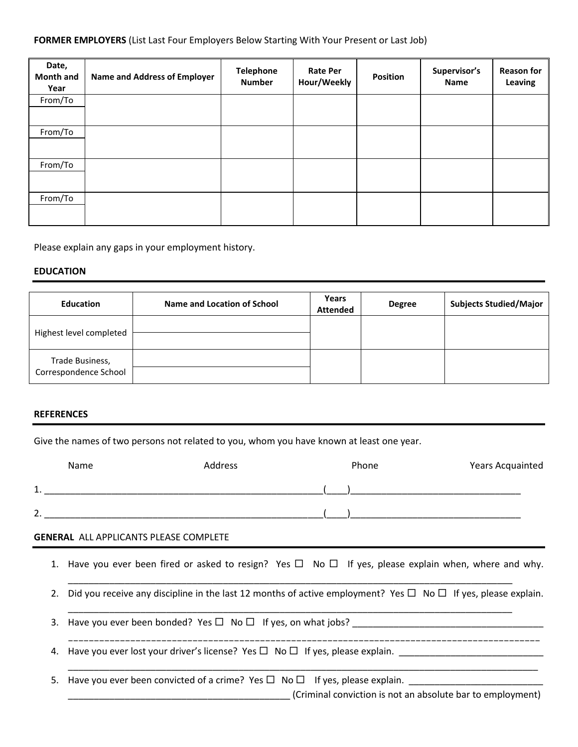## **FORMER EMPLOYERS** (List Last Four Employers Below Starting With Your Present or Last Job)

| Date,<br><b>Month and</b><br>Year | <b>Name and Address of Employer</b> | <b>Telephone</b><br><b>Number</b> | <b>Rate Per</b><br>Hour/Weekly | <b>Position</b> | Supervisor's<br><b>Name</b> | <b>Reason for</b><br>Leaving |
|-----------------------------------|-------------------------------------|-----------------------------------|--------------------------------|-----------------|-----------------------------|------------------------------|
| From/To                           |                                     |                                   |                                |                 |                             |                              |
| From/To                           |                                     |                                   |                                |                 |                             |                              |
| From/To                           |                                     |                                   |                                |                 |                             |                              |
| From/To                           |                                     |                                   |                                |                 |                             |                              |

Please explain any gaps in your employment history.

#### **EDUCATION**

| <b>Education</b>                         | Name and Location of School | Years<br><b>Attended</b> | <b>Degree</b> | <b>Subjects Studied/Major</b> |
|------------------------------------------|-----------------------------|--------------------------|---------------|-------------------------------|
| Highest level completed                  |                             |                          |               |                               |
| Trade Business,<br>Correspondence School |                             |                          |               |                               |

#### **REFERENCES**

Give the names of two persons not related to you, whom you have known at least one year.

|         | Name | Address | Phone | Years Acquainted |
|---------|------|---------|-------|------------------|
| ◢<br>ᆠ. |      |         |       |                  |
| C<br>z. |      |         |       |                  |

### **GENERAL** ALL APPLICANTS PLEASE COMPLETE

1. Have you ever been fired or asked to resign? Yes  $\Box$  No  $\Box$  If yes, please explain when, where and why.

\_\_\_\_\_\_\_\_\_\_\_\_\_\_\_\_\_\_\_\_\_\_\_\_\_\_\_\_\_\_\_\_\_\_\_\_\_\_\_\_\_\_\_\_\_\_\_\_\_\_\_\_\_\_\_\_\_\_\_\_\_\_\_\_\_\_\_\_\_\_\_\_\_\_\_\_\_\_\_\_\_\_\_\_\_\_

 $\_$  , and the set of the set of the set of the set of the set of the set of the set of the set of the set of the set of the set of the set of the set of the set of the set of the set of the set of the set of the set of th

2. Did you receive any discipline in the last 12 months of active employment? Yes  $\Box$  No  $\Box$  If yes, please explain.

3. Have you ever been bonded? Yes  $\Box$  No  $\Box$  If yes, on what jobs?

4. Have you ever lost your driver's license? Yes  $\Box$  No  $\Box$  If yes, please explain.

5. Have you ever been convicted of a crime? Yes  $\Box$  No  $\Box$  If yes, please explain.

\_\_\_\_\_\_\_\_\_\_\_\_\_\_\_\_\_\_\_\_\_\_\_\_\_\_\_\_\_\_\_\_\_\_\_\_\_\_\_\_\_\_\_ (Criminal conviction is not an absolute bar to employment)